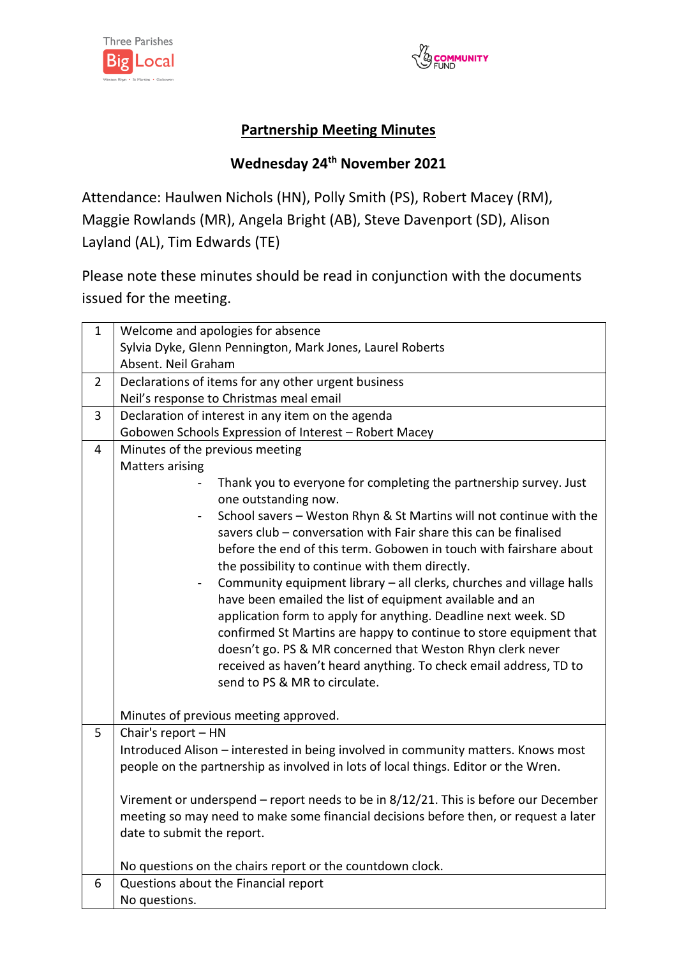



## **Partnership Meeting Minutes**

## **Wednesday 24 th November 2021**

Attendance: Haulwen Nichols (HN), Polly Smith (PS), Robert Macey (RM), Maggie Rowlands (MR), Angela Bright (AB), Steve Davenport (SD), Alison Layland (AL), Tim Edwards (TE)

Please note these minutes should be read in conjunction with the documents issued for the meeting.

| $\mathbf{1}$   | Welcome and apologies for absence                                                    |
|----------------|--------------------------------------------------------------------------------------|
|                | Sylvia Dyke, Glenn Pennington, Mark Jones, Laurel Roberts                            |
|                | Absent. Neil Graham                                                                  |
| $\overline{2}$ | Declarations of items for any other urgent business                                  |
|                | Neil's response to Christmas meal email                                              |
| 3              | Declaration of interest in any item on the agenda                                    |
|                | Gobowen Schools Expression of Interest - Robert Macey                                |
| $\overline{4}$ | Minutes of the previous meeting                                                      |
|                | <b>Matters arising</b>                                                               |
|                | Thank you to everyone for completing the partnership survey. Just                    |
|                | one outstanding now.                                                                 |
|                | School savers - Weston Rhyn & St Martins will not continue with the                  |
|                | savers club - conversation with Fair share this can be finalised                     |
|                | before the end of this term. Gobowen in touch with fairshare about                   |
|                | the possibility to continue with them directly.                                      |
|                | Community equipment library - all clerks, churches and village halls                 |
|                | have been emailed the list of equipment available and an                             |
|                | application form to apply for anything. Deadline next week. SD                       |
|                | confirmed St Martins are happy to continue to store equipment that                   |
|                | doesn't go. PS & MR concerned that Weston Rhyn clerk never                           |
|                | received as haven't heard anything. To check email address, TD to                    |
|                | send to PS & MR to circulate.                                                        |
|                | Minutes of previous meeting approved.                                                |
| 5              | Chair's report - HN                                                                  |
|                | Introduced Alison - interested in being involved in community matters. Knows most    |
|                | people on the partnership as involved in lots of local things. Editor or the Wren.   |
|                |                                                                                      |
|                | Virement or underspend - report needs to be in 8/12/21. This is before our December  |
|                | meeting so may need to make some financial decisions before then, or request a later |
|                | date to submit the report.                                                           |
|                |                                                                                      |
|                | No questions on the chairs report or the countdown clock.                            |
| 6              | Questions about the Financial report                                                 |
|                | No questions.                                                                        |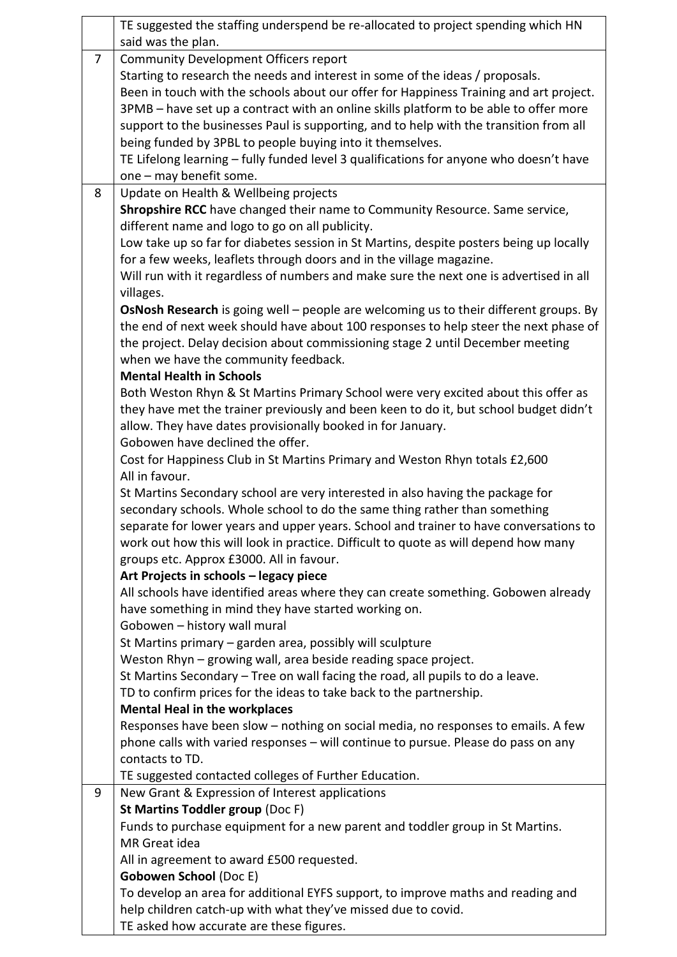|                | TE suggested the staffing underspend be re-allocated to project spending which HN       |
|----------------|-----------------------------------------------------------------------------------------|
|                | said was the plan.                                                                      |
| $\overline{7}$ | <b>Community Development Officers report</b>                                            |
|                | Starting to research the needs and interest in some of the ideas / proposals.           |
|                | Been in touch with the schools about our offer for Happiness Training and art project.  |
|                | 3PMB - have set up a contract with an online skills platform to be able to offer more   |
|                | support to the businesses Paul is supporting, and to help with the transition from all  |
|                | being funded by 3PBL to people buying into it themselves.                               |
|                | TE Lifelong learning - fully funded level 3 qualifications for anyone who doesn't have  |
|                | one - may benefit some.                                                                 |
| 8              | Update on Health & Wellbeing projects                                                   |
|                | Shropshire RCC have changed their name to Community Resource. Same service,             |
|                | different name and logo to go on all publicity.                                         |
|                | Low take up so far for diabetes session in St Martins, despite posters being up locally |
|                | for a few weeks, leaflets through doors and in the village magazine.                    |
|                | Will run with it regardless of numbers and make sure the next one is advertised in all  |
|                | villages.                                                                               |
|                | OsNosh Research is going well - people are welcoming us to their different groups. By   |
|                | the end of next week should have about 100 responses to help steer the next phase of    |
|                | the project. Delay decision about commissioning stage 2 until December meeting          |
|                | when we have the community feedback.                                                    |
|                | <b>Mental Health in Schools</b>                                                         |
|                | Both Weston Rhyn & St Martins Primary School were very excited about this offer as      |
|                | they have met the trainer previously and been keen to do it, but school budget didn't   |
|                | allow. They have dates provisionally booked in for January.                             |
|                | Gobowen have declined the offer.                                                        |
|                | Cost for Happiness Club in St Martins Primary and Weston Rhyn totals £2,600             |
|                | All in favour.                                                                          |
|                | St Martins Secondary school are very interested in also having the package for          |
|                | secondary schools. Whole school to do the same thing rather than something              |
|                | separate for lower years and upper years. School and trainer to have conversations to   |
|                | work out how this will look in practice. Difficult to quote as will depend how many     |
|                | groups etc. Approx £3000. All in favour.                                                |
|                | Art Projects in schools - legacy piece                                                  |
|                | All schools have identified areas where they can create something. Gobowen already      |
|                | have something in mind they have started working on.                                    |
|                | Gobowen - history wall mural                                                            |
|                | St Martins primary – garden area, possibly will sculpture                               |
|                | Weston Rhyn - growing wall, area beside reading space project.                          |
|                | St Martins Secondary - Tree on wall facing the road, all pupils to do a leave.          |
|                | TD to confirm prices for the ideas to take back to the partnership.                     |
|                | <b>Mental Heal in the workplaces</b>                                                    |
|                | Responses have been slow - nothing on social media, no responses to emails. A few       |
|                | phone calls with varied responses - will continue to pursue. Please do pass on any      |
|                | contacts to TD.                                                                         |
|                | TE suggested contacted colleges of Further Education.                                   |
| 9              | New Grant & Expression of Interest applications                                         |
|                | St Martins Toddler group (Doc F)                                                        |
|                | Funds to purchase equipment for a new parent and toddler group in St Martins.           |
|                | MR Great idea                                                                           |
|                | All in agreement to award £500 requested.                                               |
|                | <b>Gobowen School (Doc E)</b>                                                           |
|                | To develop an area for additional EYFS support, to improve maths and reading and        |
|                | help children catch-up with what they've missed due to covid.                           |
|                | TE asked how accurate are these figures.                                                |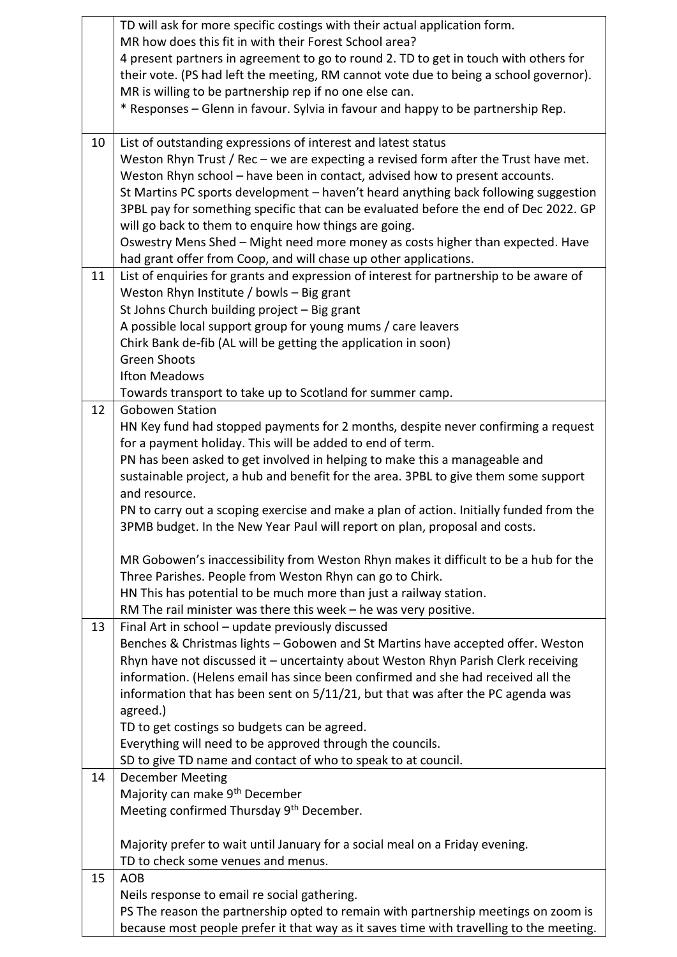|    | TD will ask for more specific costings with their actual application form.              |
|----|-----------------------------------------------------------------------------------------|
|    | MR how does this fit in with their Forest School area?                                  |
|    | 4 present partners in agreement to go to round 2. TD to get in touch with others for    |
|    | their vote. (PS had left the meeting, RM cannot vote due to being a school governor).   |
|    | MR is willing to be partnership rep if no one else can.                                 |
|    | * Responses – Glenn in favour. Sylvia in favour and happy to be partnership Rep.        |
|    |                                                                                         |
| 10 | List of outstanding expressions of interest and latest status                           |
|    | Weston Rhyn Trust / Rec - we are expecting a revised form after the Trust have met.     |
|    | Weston Rhyn school - have been in contact, advised how to present accounts.             |
|    | St Martins PC sports development - haven't heard anything back following suggestion     |
|    | 3PBL pay for something specific that can be evaluated before the end of Dec 2022. GP    |
|    | will go back to them to enquire how things are going.                                   |
|    | Oswestry Mens Shed - Might need more money as costs higher than expected. Have          |
|    | had grant offer from Coop, and will chase up other applications.                        |
| 11 | List of enquiries for grants and expression of interest for partnership to be aware of  |
|    | Weston Rhyn Institute / bowls - Big grant                                               |
|    | St Johns Church building project - Big grant                                            |
|    |                                                                                         |
|    | A possible local support group for young mums / care leavers                            |
|    | Chirk Bank de-fib (AL will be getting the application in soon)                          |
|    | <b>Green Shoots</b>                                                                     |
|    | <b>Ifton Meadows</b>                                                                    |
|    | Towards transport to take up to Scotland for summer camp.                               |
| 12 | <b>Gobowen Station</b>                                                                  |
|    | HN Key fund had stopped payments for 2 months, despite never confirming a request       |
|    | for a payment holiday. This will be added to end of term.                               |
|    | PN has been asked to get involved in helping to make this a manageable and              |
|    | sustainable project, a hub and benefit for the area. 3PBL to give them some support     |
|    | and resource.                                                                           |
|    | PN to carry out a scoping exercise and make a plan of action. Initially funded from the |
|    | 3PMB budget. In the New Year Paul will report on plan, proposal and costs.              |
|    | MR Gobowen's inaccessibility from Weston Rhyn makes it difficult to be a hub for the    |
|    | Three Parishes. People from Weston Rhyn can go to Chirk.                                |
|    | HN This has potential to be much more than just a railway station.                      |
|    | RM The rail minister was there this week - he was very positive.                        |
| 13 | Final Art in school - update previously discussed                                       |
|    | Benches & Christmas lights - Gobowen and St Martins have accepted offer. Weston         |
|    | Rhyn have not discussed it - uncertainty about Weston Rhyn Parish Clerk receiving       |
|    | information. (Helens email has since been confirmed and she had received all the        |
|    | information that has been sent on 5/11/21, but that was after the PC agenda was         |
|    | agreed.)                                                                                |
|    | TD to get costings so budgets can be agreed.                                            |
|    | Everything will need to be approved through the councils.                               |
|    | SD to give TD name and contact of who to speak to at council.                           |
| 14 | <b>December Meeting</b>                                                                 |
|    | Majority can make 9 <sup>th</sup> December                                              |
|    | Meeting confirmed Thursday 9th December.                                                |
|    |                                                                                         |
|    | Majority prefer to wait until January for a social meal on a Friday evening.            |
| 15 | TD to check some venues and menus.                                                      |
|    | <b>AOB</b><br>Neils response to email re social gathering.                              |
|    | PS The reason the partnership opted to remain with partnership meetings on zoom is      |
|    | because most people prefer it that way as it saves time with travelling to the meeting. |
|    |                                                                                         |